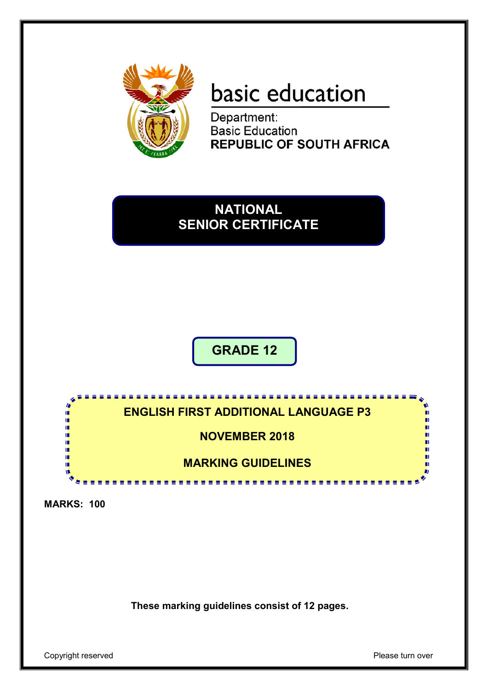

# basic education

Department: **Basic Education REPUBLIC OF SOUTH AFRICA** 

## **NATIONAL SENIOR CERTIFICATE**

**GRADE 12**

## **ENGLISH FIRST ADDITIONAL LANGUAGE P3**

**NOVEMBER 2018**

**MARKING GUIDELINES**

<u>. . . . . . . . . . .</u>

**MARKS: 100**

í. ı. ı. œ œ T.

**These marking guidelines consist of 12 pages.**

Copyright reserved **Please** turn over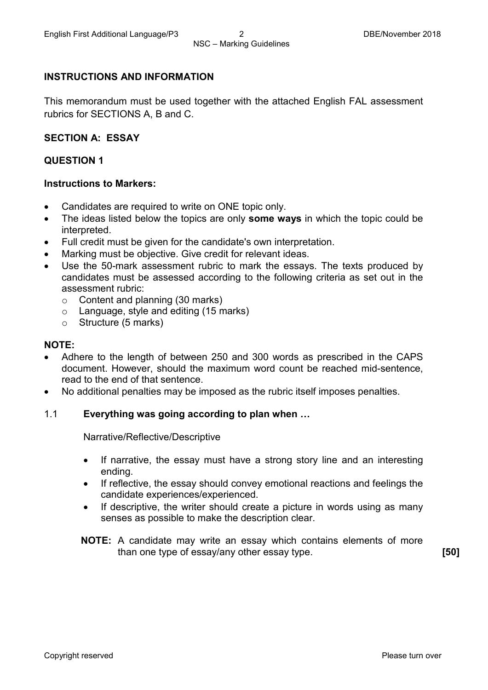#### **INSTRUCTIONS AND INFORMATION**

This memorandum must be used together with the attached English FAL assessment rubrics for SECTIONS A, B and C.

#### **SECTION A: ESSAY**

#### **QUESTION 1**

#### **Instructions to Markers:**

- Candidates are required to write on ONE topic only.
- The ideas listed below the topics are only **some ways** in which the topic could be interpreted.
- Full credit must be given for the candidate's own interpretation.
- Marking must be objective. Give credit for relevant ideas.
- Use the 50-mark assessment rubric to mark the essays. The texts produced by candidates must be assessed according to the following criteria as set out in the assessment rubric:
	- o Content and planning (30 marks)
	- o Language, style and editing (15 marks)
	- o Structure (5 marks)

#### **NOTE:**

- Adhere to the length of between 250 and 300 words as prescribed in the CAPS document. However, should the maximum word count be reached mid-sentence, read to the end of that sentence.
- No additional penalties may be imposed as the rubric itself imposes penalties.

#### 1.1 **Everything was going according to plan when …**

Narrative/Reflective/Descriptive

- If narrative, the essay must have a strong story line and an interesting ending.
- If reflective, the essay should convey emotional reactions and feelings the candidate experiences/experienced.
- If descriptive, the writer should create a picture in words using as many senses as possible to make the description clear.
- **NOTE:** A candidate may write an essay which contains elements of more than one type of essay/any other essay type. **[50]**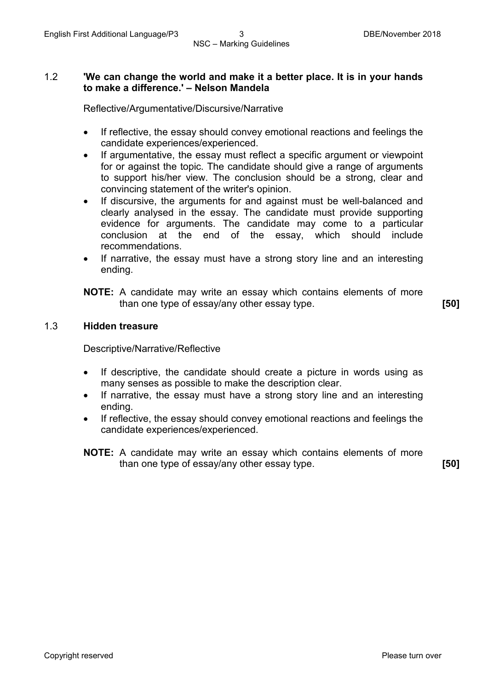#### 1.2 **'We can change the world and make it a better place. It is in your hands to make a difference.' – Nelson Mandela**

Reflective/Argumentative/Discursive/Narrative

- If reflective, the essay should convey emotional reactions and feelings the candidate experiences/experienced.
- If argumentative, the essay must reflect a specific argument or viewpoint for or against the topic. The candidate should give a range of arguments to support his/her view. The conclusion should be a strong, clear and convincing statement of the writer's opinion.
- If discursive, the arguments for and against must be well-balanced and clearly analysed in the essay. The candidate must provide supporting evidence for arguments. The candidate may come to a particular conclusion at the end of the essay, which should include recommendations.
- If narrative, the essay must have a strong story line and an interesting ending.

**NOTE:** A candidate may write an essay which contains elements of more than one type of essay/any other essay type. **[50]**

#### 1.3 **Hidden treasure**

Descriptive/Narrative/Reflective

- If descriptive, the candidate should create a picture in words using as many senses as possible to make the description clear.
- If narrative, the essay must have a strong story line and an interesting ending.
- If reflective, the essay should convey emotional reactions and feelings the candidate experiences/experienced.
- **NOTE:** A candidate may write an essay which contains elements of more than one type of essay/any other essay type. **[50]**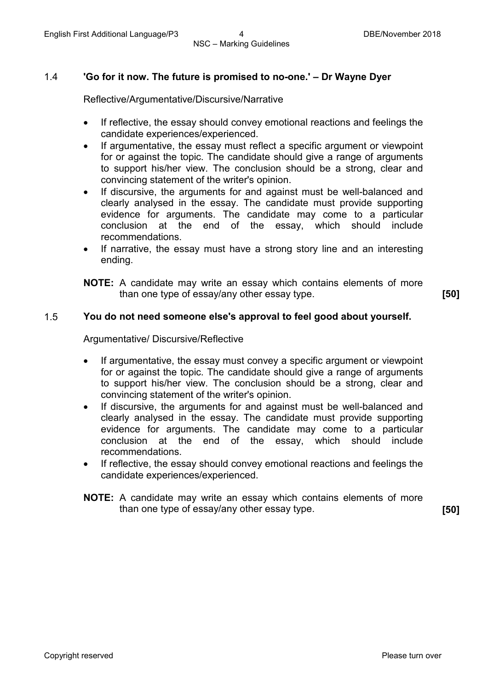#### 1.4 **'Go for it now. The future is promised to no-one.' – Dr Wayne Dyer**

Reflective/Argumentative/Discursive/Narrative

- If reflective, the essay should convey emotional reactions and feelings the candidate experiences/experienced.
- If argumentative, the essay must reflect a specific argument or viewpoint for or against the topic. The candidate should give a range of arguments to support his/her view. The conclusion should be a strong, clear and convincing statement of the writer's opinion.
- If discursive, the arguments for and against must be well-balanced and clearly analysed in the essay. The candidate must provide supporting evidence for arguments. The candidate may come to a particular conclusion at the end of the essay, which should include recommendations.
- If narrative, the essay must have a strong story line and an interesting ending.

**NOTE:** A candidate may write an essay which contains elements of more than one type of essay/any other essay type. **[50]**

#### 1.5 **You do not need someone else's approval to feel good about yourself.**

Argumentative/ Discursive/Reflective

- If argumentative, the essay must convey a specific argument or viewpoint for or against the topic. The candidate should give a range of arguments to support his/her view. The conclusion should be a strong, clear and convincing statement of the writer's opinion.
- If discursive, the arguments for and against must be well-balanced and clearly analysed in the essay. The candidate must provide supporting evidence for arguments. The candidate may come to a particular conclusion at the end of the essay, which should include recommendations.
- If reflective, the essay should convey emotional reactions and feelings the candidate experiences/experienced.
- **NOTE:** A candidate may write an essay which contains elements of more than one type of essay/any other essay type. **[50]**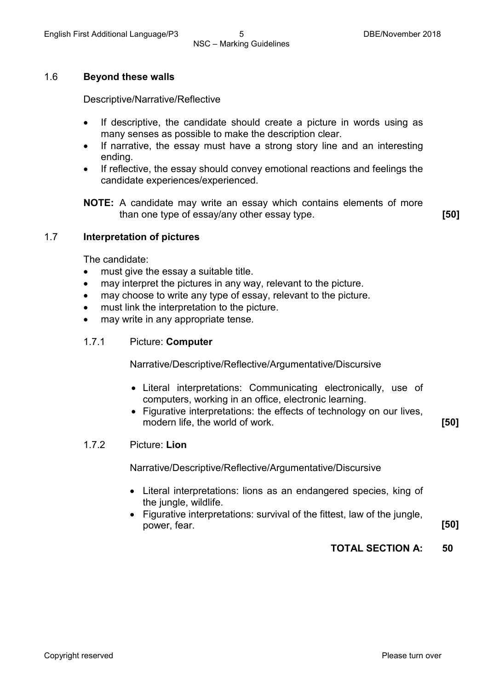#### 1.6 **Beyond these walls**

Descriptive/Narrative/Reflective

- If descriptive, the candidate should create a picture in words using as many senses as possible to make the description clear.
- If narrative, the essay must have a strong story line and an interesting ending.
- If reflective, the essay should convey emotional reactions and feelings the candidate experiences/experienced.

**NOTE:** A candidate may write an essay which contains elements of more than one type of essay/any other essay type. **[50]**

#### 1.7 **Interpretation of pictures**

The candidate:

- must give the essay a suitable title.
- may interpret the pictures in any way, relevant to the picture.
- may choose to write any type of essay, relevant to the picture.
- must link the interpretation to the picture.
- may write in any appropriate tense.
- 1.7.1 Picture: **Computer**

Narrative/Descriptive/Reflective/Argumentative/Discursive

- Literal interpretations: Communicating electronically, use of computers, working in an office, electronic learning.
- Figurative interpretations: the effects of technology on our lives, modern life, the world of work. **[50]**

#### 1.7.2 Picture: **Lion**

Narrative/Descriptive/Reflective/Argumentative/Discursive

- Literal interpretations: lions as an endangered species, king of the jungle, wildlife.
- Figurative interpretations: survival of the fittest, law of the jungle, power, fear. **[50]**

#### **TOTAL SECTION A: 50**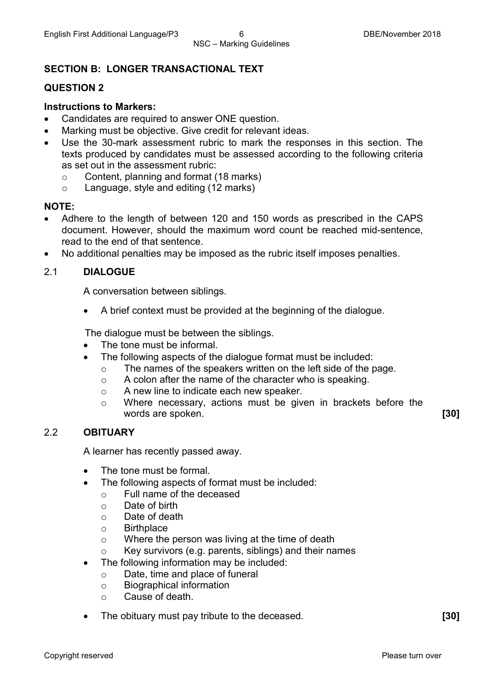### **SECTION B: LONGER TRANSACTIONAL TEXT**

#### **QUESTION 2**

#### **Instructions to Markers:**

- Candidates are required to answer ONE question.
- Marking must be objective. Give credit for relevant ideas.
- Use the 30-mark assessment rubric to mark the responses in this section. The texts produced by candidates must be assessed according to the following criteria as set out in the assessment rubric:
	- $\circ$  Content, planning and format (18 marks)<br> $\circ$  Language, style and editing (12 marks)
	- Language, style and editing (12 marks)

#### **NOTE:**

- Adhere to the length of between 120 and 150 words as prescribed in the CAPS document. However, should the maximum word count be reached mid-sentence, read to the end of that sentence.
- No additional penalties may be imposed as the rubric itself imposes penalties.

#### 2.1 **DIALOGUE**

A conversation between siblings.

• A brief context must be provided at the beginning of the dialogue.

The dialogue must be between the siblings.

- The tone must be informal.
	- The following aspects of the dialogue format must be included:
		- $\circ$  The names of the speakers written on the left side of the page.<br>  $\circ$  A colon after the name of the character who is speaking.
		- $\circ$  A colon after the name of the character who is speaking.<br>  $\circ$  A new line to indicate each new speaker.
		- A new line to indicate each new speaker.
		- o Where necessary, actions must be given in brackets before the words are spoken. **[30]**

#### 2.2 **OBITUARY**

A learner has recently passed away.

- The tone must be formal.
- The following aspects of format must be included:
	- $\circ$  Full name of the deceased  $\circ$  Date of birth
	- Date of birth
	- o Date of death
	- o Birthplace
	- o Where the person was living at the time of death
	- o Key survivors (e.g. parents, siblings) and their names
- The following information may be included:
	- o Date, time and place of funeral
	- $\circ$  Biographical information<br> $\circ$  Cause of death.
	- Cause of death.
- The obituary must pay tribute to the deceased. **[30]**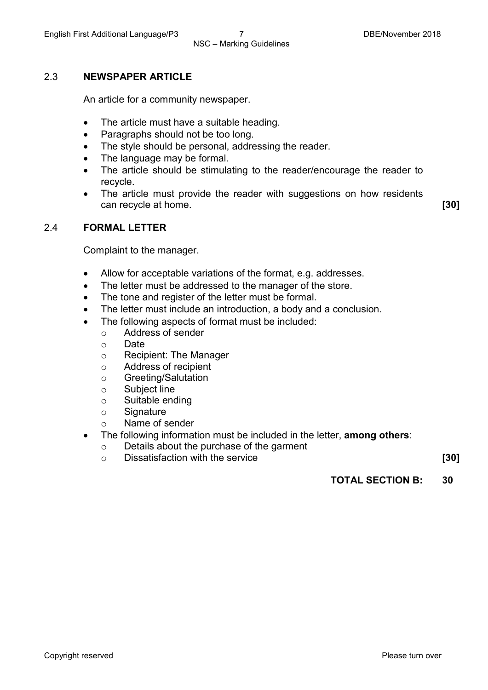#### 2.3 **NEWSPAPER ARTICLE**

An article for a community newspaper.

- The article must have a suitable heading.
- Paragraphs should not be too long.
- The style should be personal, addressing the reader.
- The language may be formal.
- The article should be stimulating to the reader/encourage the reader to recycle.
- The article must provide the reader with suggestions on how residents can recycle at home. **[30]**

#### 2.4 **FORMAL LETTER**

Complaint to the manager.

- Allow for acceptable variations of the format, e.g. addresses.
- The letter must be addressed to the manager of the store.
- The tone and register of the letter must be formal.
- The letter must include an introduction, a body and a conclusion.
- The following aspects of format must be included:
	- Address of sender<br>○ Date
	- Date
	- o Recipient: The Manager
	- o Address of recipient<br>
	o Greeting/Salutation
	- Greeting/Salutation<br>○ Subiect line
	- o Subject line<br>⊙ Suitable end
	- o Suitable ending<br>
	o Signature
	- Signature
	- o Name of sender
- The following information must be included in the letter, **among others**:
	- o Details about the purchase of the garment
	- o Dissatisfaction with the service **[30]**

**TOTAL SECTION B: 30**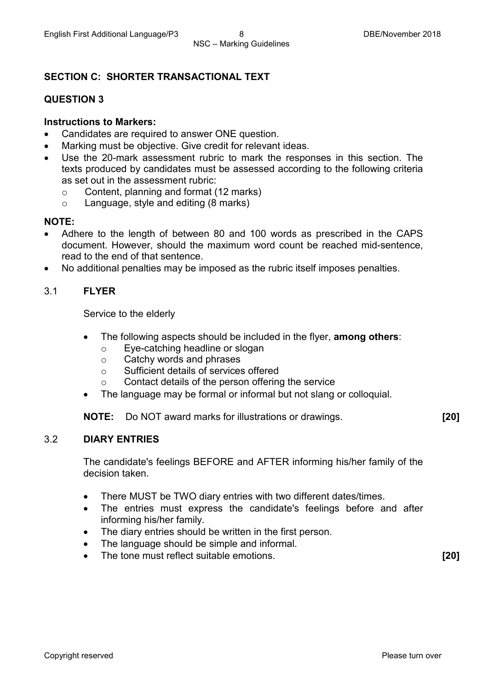#### **SECTION C: SHORTER TRANSACTIONAL TEXT**

#### **QUESTION 3**

#### **Instructions to Markers:**

- Candidates are required to answer ONE question.
- Marking must be objective. Give credit for relevant ideas.
- Use the 20-mark assessment rubric to mark the responses in this section. The texts produced by candidates must be assessed according to the following criteria as set out in the assessment rubric:
	- $\circ$  Content, planning and format (12 marks)<br> $\circ$  Language, style and editing (8 marks)
	- Language, style and editing (8 marks)

#### **NOTE:**

- Adhere to the length of between 80 and 100 words as prescribed in the CAPS document. However, should the maximum word count be reached mid-sentence, read to the end of that sentence.
- No additional penalties may be imposed as the rubric itself imposes penalties.

#### 3.1 **FLYER**

Service to the elderly

- The following aspects should be included in the flyer, **among others**:
	- Eye-catching headline or slogan<br>○ Catchy words and phrases
	- Catchy words and phrases<br>○ Sufficient details of services
	- Sufficient details of services offered
	- o Contact details of the person offering the service
- The language may be formal or informal but not slang or colloquial.

**NOTE:** Do NOT award marks for illustrations or drawings. **[20]**

#### 3.2 **DIARY ENTRIES**

The candidate's feelings BEFORE and AFTER informing his/her family of the decision taken.

- There MUST be TWO diary entries with two different dates/times.
- The entries must express the candidate's feelings before and after informing his/her family.
- The diary entries should be written in the first person.
- The language should be simple and informal.
- The tone must reflect suitable emotions. **[20]**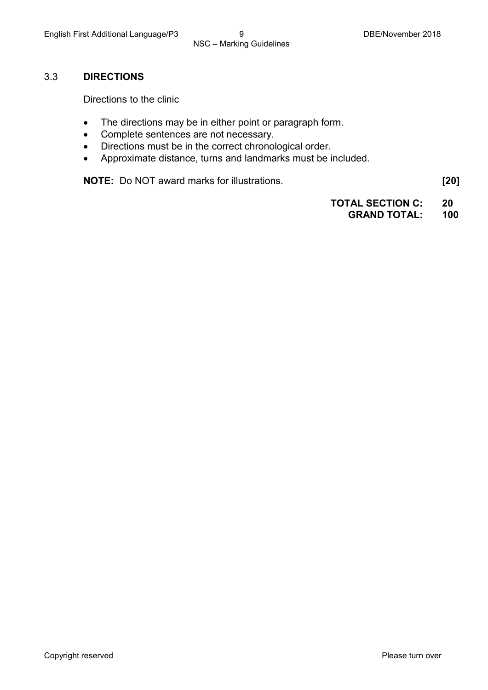#### 3.3 **DIRECTIONS**

Directions to the clinic

- The directions may be in either point or paragraph form.
- Complete sentences are not necessary.
- Directions must be in the correct chronological order.
- Approximate distance, turns and landmarks must be included.

**NOTE:** Do NOT award marks for illustrations. **[20]**

**TOTAL SECTION C: 20**

**GRAND TOTAL: 100**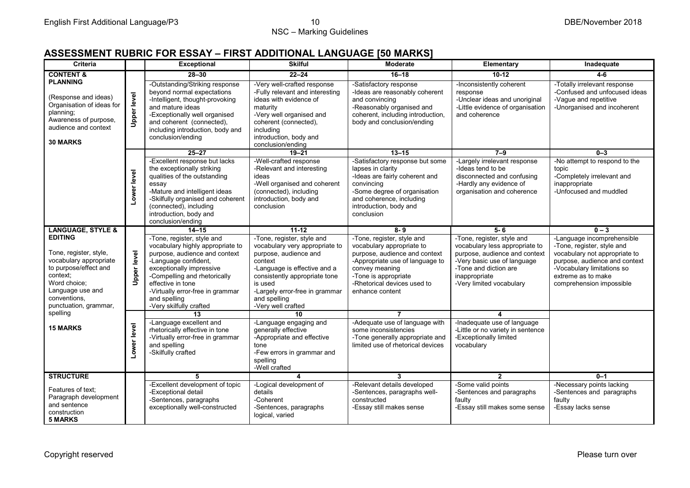#### **ASSESSMENT RUBRIC FOR ESSAY – FIRST ADDITIONAL LANGUAGE [50 MARKS]**

| <b>Criteria</b>                                                                                                                                                                      |                    | <b>Exceptional</b>                                                                                                                                                                                                                                                                      | <b>Skilful</b>                                                                                                                                                                                                                                       | <b>Moderate</b>                                                                                                                                                                                                         | Elementary                                                                                                                                                                                         | Inadequate                                                                                                                                                                                                 |
|--------------------------------------------------------------------------------------------------------------------------------------------------------------------------------------|--------------------|-----------------------------------------------------------------------------------------------------------------------------------------------------------------------------------------------------------------------------------------------------------------------------------------|------------------------------------------------------------------------------------------------------------------------------------------------------------------------------------------------------------------------------------------------------|-------------------------------------------------------------------------------------------------------------------------------------------------------------------------------------------------------------------------|----------------------------------------------------------------------------------------------------------------------------------------------------------------------------------------------------|------------------------------------------------------------------------------------------------------------------------------------------------------------------------------------------------------------|
| <b>CONTENT &amp;</b><br><b>PLANNING</b>                                                                                                                                              |                    | $28 - 30$                                                                                                                                                                                                                                                                               | $22 - 24$                                                                                                                                                                                                                                            | $16 - 18$                                                                                                                                                                                                               | $10-12$                                                                                                                                                                                            | $4-6$                                                                                                                                                                                                      |
| (Response and ideas)<br>Organisation of ideas for<br>planning;<br>Awareness of purpose,<br>audience and context<br><b>30 MARKS</b>                                                   | <b>Upper level</b> | -Outstanding/Striking response<br>beyond normal expectations<br>-Intelligent, thought-provoking<br>and mature ideas<br>-Exceptionally well organised<br>and coherent (connected),<br>including introduction, body and<br>conclusion/ending                                              | -Very well-crafted response<br>-Fully relevant and interesting<br>ideas with evidence of<br>maturity<br>-Very well organised and<br>coherent (connected),<br>including<br>introduction, body and<br>conclusion/ending                                | -Satisfactory response<br>-Ideas are reasonably coherent<br>and convincing<br>-Reasonably organised and<br>coherent, including introduction,<br>body and conclusion/ending                                              | -Inconsistently coherent<br>response<br>-Unclear ideas and unoriginal<br>-Little evidence of organisation<br>and coherence                                                                         | -Totally irrelevant response<br>-Confused and unfocused ideas<br>-Vague and repetitive<br>-Unorganised and incoherent                                                                                      |
|                                                                                                                                                                                      |                    | $25 - 27$                                                                                                                                                                                                                                                                               | $19 - 21$                                                                                                                                                                                                                                            | $13 - 15$                                                                                                                                                                                                               | $7 - 9$                                                                                                                                                                                            | $0 - 3$                                                                                                                                                                                                    |
|                                                                                                                                                                                      | Lower level        | -Excellent response but lacks<br>the exceptionally striking<br>qualities of the outstanding<br>essay<br>-Mature and intelligent ideas<br>-Skilfully organised and coherent<br>(connected), including<br>introduction, body and<br>conclusion/ending                                     | -Well-crafted response<br>-Relevant and interesting<br>ideas<br>-Well organised and coherent<br>(connected), including<br>introduction, body and<br>conclusion                                                                                       | -Satisfactory response but some<br>lapses in clarity<br>-Ideas are fairly coherent and<br>convincing<br>-Some degree of organisation<br>and coherence, including<br>introduction, body and<br>conclusion                | -Largely irrelevant response<br>-Ideas tend to be<br>disconnected and confusing<br>-Hardly any evidence of<br>organisation and coherence                                                           | -No attempt to respond to the<br>topic<br>-Completely irrelevant and<br>inappropriate<br>-Unfocused and muddled                                                                                            |
| <b>LANGUAGE, STYLE &amp;</b>                                                                                                                                                         |                    | $14 - 15$                                                                                                                                                                                                                                                                               | $11 - 12$                                                                                                                                                                                                                                            | $8 - 9$                                                                                                                                                                                                                 | $5 - 6$                                                                                                                                                                                            | $0 - 3$                                                                                                                                                                                                    |
| <b>EDITING</b><br>Tone, register, style,<br>vocabulary appropriate<br>to purpose/effect and<br>context:<br>Word choice:<br>Language use and<br>conventions.<br>punctuation, grammar, | <b>Upper level</b> | -Tone, register, style and<br>vocabulary highly appropriate to<br>purpose, audience and context<br>-Language confident,<br>exceptionally impressive<br>-Compelling and rhetorically<br>effective in tone<br>-Virtually error-free in grammar<br>and spelling<br>-Very skilfully crafted | -Tone, register, style and<br>vocabulary very appropriate to<br>purpose, audience and<br>context<br>-Language is effective and a<br>consistently appropriate tone<br>is used<br>-Largely error-free in grammar<br>and spelling<br>-Very well crafted | -Tone, register, style and<br>vocabulary appropriate to<br>purpose, audience and context<br>-Appropriate use of language to<br>convey meaning<br>-Tone is appropriate<br>-Rhetorical devices used to<br>enhance content | -Tone, register, style and<br>vocabulary less appropriate to<br>purpose, audience and context<br>-Very basic use of language<br>-Tone and diction are<br>inappropriate<br>-Very limited vocabulary | -Language incomprehensible<br>-Tone, register, style and<br>vocabulary not appropriate to<br>purpose, audience and context<br>-Vocabulary limitations so<br>extreme as to make<br>comprehension impossible |
| spelling                                                                                                                                                                             |                    | 13                                                                                                                                                                                                                                                                                      | 10                                                                                                                                                                                                                                                   | 7                                                                                                                                                                                                                       | $\boldsymbol{\Lambda}$                                                                                                                                                                             |                                                                                                                                                                                                            |
| <b>15 MARKS</b>                                                                                                                                                                      | Lower level        | -Language excellent and<br>rhetorically effective in tone<br>-Virtually error-free in grammar<br>and spelling<br>-Skilfully crafted                                                                                                                                                     | -Language engaging and<br>generally effective<br>-Appropriate and effective<br>tone<br>-Few errors in grammar and<br>spelling<br>-Well crafted                                                                                                       | -Adequate use of language with<br>some inconsistencies<br>-Tone generally appropriate and<br>limited use of rhetorical devices                                                                                          | -Inadequate use of language<br>-Little or no variety in sentence<br>-Exceptionally limited<br>vocabulary                                                                                           |                                                                                                                                                                                                            |
| <b>STRUCTURE</b>                                                                                                                                                                     |                    | 5                                                                                                                                                                                                                                                                                       | $\overline{\mathbf{4}}$                                                                                                                                                                                                                              | 3                                                                                                                                                                                                                       | $\overline{2}$                                                                                                                                                                                     | $0 - 1$                                                                                                                                                                                                    |
| Features of text:<br>Paragraph development<br>and sentence<br>construction<br><b>5 MARKS</b>                                                                                         |                    | -Excellent development of topic<br>-Exceptional detail<br>-Sentences, paragraphs<br>exceptionally well-constructed                                                                                                                                                                      | -Logical development of<br>details<br>-Coherent<br>-Sentences, paragraphs<br>logical, varied                                                                                                                                                         | -Relevant details developed<br>-Sentences, paragraphs well-<br>constructed<br>-Essay still makes sense                                                                                                                  | -Some valid points<br>-Sentences and paragraphs<br>faulty<br>-Essay still makes some sense                                                                                                         | -Necessary points lacking<br>-Sentences and paragraphs<br>faulty<br>-Essay lacks sense                                                                                                                     |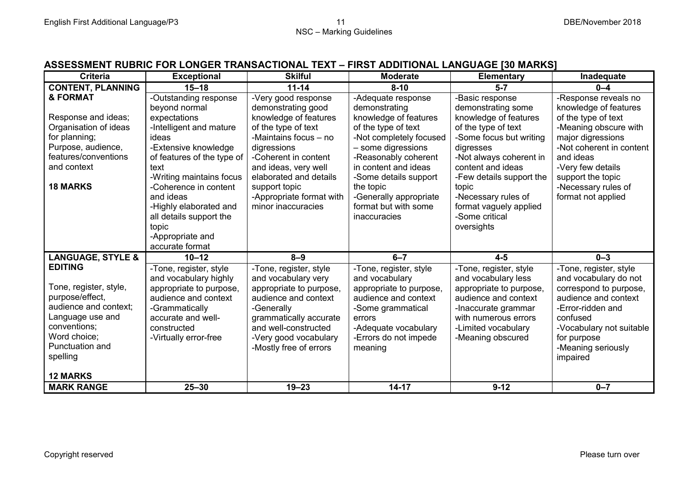### **ASSESSMENT RUBRIC FOR LONGER TRANSACTIONAL TEXT – FIRST ADDITIONAL LANGUAGE [30 MARKS]**

| <b>Criteria</b>              | <b>Exceptional</b>         | <b>Skilful</b>           | <b>Moderate</b>         | <b>Elementary</b>        | Inadequate               |
|------------------------------|----------------------------|--------------------------|-------------------------|--------------------------|--------------------------|
| <b>CONTENT, PLANNING</b>     | $15 - 18$                  | $11 - 14$                | $8 - 10$                | $5 - 7$                  | $0 - 4$                  |
| & FORMAT                     | -Outstanding response      | -Very good response      | -Adequate response      | -Basic response          | -Response reveals no     |
|                              | beyond normal              | demonstrating good       | demonstrating           | demonstrating some       | knowledge of features    |
| Response and ideas;          | expectations               | knowledge of features    | knowledge of features   | knowledge of features    | of the type of text      |
| Organisation of ideas        | -Intelligent and mature    | of the type of text      | of the type of text     | of the type of text      | -Meaning obscure with    |
| for planning;                | ideas                      | -Maintains focus - no    | -Not completely focused | -Some focus but writing  | major digressions        |
| Purpose, audience,           | -Extensive knowledge       | digressions              | - some digressions      | digresses                | -Not coherent in content |
| features/conventions         | of features of the type of | -Coherent in content     | -Reasonably coherent    | -Not always coherent in  | and ideas                |
| and context                  | text                       | and ideas, very well     | in content and ideas    | content and ideas        | -Very few details        |
|                              | -Writing maintains focus   | elaborated and details   | -Some details support   | -Few details support the | support the topic        |
| <b>18 MARKS</b>              | -Coherence in content      | support topic            | the topic               | topic                    | -Necessary rules of      |
|                              | and ideas                  | -Appropriate format with | -Generally appropriate  | -Necessary rules of      | format not applied       |
|                              | -Highly elaborated and     | minor inaccuracies       | format but with some    | format vaguely applied   |                          |
|                              | all details support the    |                          | inaccuracies            | -Some critical           |                          |
|                              | topic                      |                          |                         | oversights               |                          |
|                              | -Appropriate and           |                          |                         |                          |                          |
|                              | accurate format            |                          |                         |                          |                          |
| <b>LANGUAGE, STYLE &amp;</b> | $10 - 12$                  | $8 - 9$                  | $6 - 7$                 | $4-5$                    | $0 - 3$                  |
| <b>EDITING</b>               | -Tone, register, style     | -Tone, register, style   | -Tone, register, style  | -Tone, register, style   | -Tone, register, style   |
|                              | and vocabulary highly      | and vocabulary very      | and vocabulary          | and vocabulary less      | and vocabulary do not    |
| Tone, register, style,       | appropriate to purpose,    | appropriate to purpose,  | appropriate to purpose, | appropriate to purpose,  | correspond to purpose,   |
| purpose/effect,              | audience and context       | audience and context     | audience and context    | audience and context     | audience and context     |
| audience and context;        | -Grammatically             | -Generally               | -Some grammatical       | -Inaccurate grammar      | -Error-ridden and        |
| Language use and             | accurate and well-         | grammatically accurate   | errors                  | with numerous errors     | confused                 |
| conventions;                 | constructed                | and well-constructed     | -Adequate vocabulary    | -Limited vocabulary      | -Vocabulary not suitable |
| Word choice;                 | -Virtually error-free      | -Very good vocabulary    | -Errors do not impede   | -Meaning obscured        | for purpose              |
| Punctuation and              |                            | -Mostly free of errors   | meaning                 |                          | -Meaning seriously       |
| spelling                     |                            |                          |                         |                          | impaired                 |
|                              |                            |                          |                         |                          |                          |
| <b>12 MARKS</b>              |                            |                          |                         |                          |                          |
| <b>MARK RANGE</b>            | $25 - 30$                  | $19 - 23$                | $14 - 17$               | $9 - 12$                 | $0 - 7$                  |